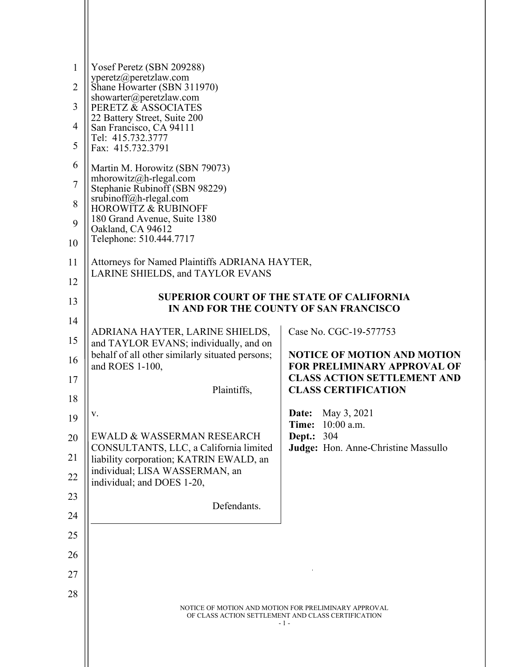| 1<br>$\overline{2}$ | Yosef Peretz (SBN 209288)<br>yperetz@peretzlaw.com<br>Shane Howarter (SBN 311970)                                   |                                                                          |
|---------------------|---------------------------------------------------------------------------------------------------------------------|--------------------------------------------------------------------------|
| 3                   | showarter@peretzlaw.com<br>PERETZ & ASSOCIATES                                                                      |                                                                          |
| $\overline{4}$      | 22 Battery Street, Suite 200                                                                                        |                                                                          |
| 5                   | San Francisco, CA 94111<br>Tel: 415.732.3777<br>Fax: 415.732.3791                                                   |                                                                          |
| 6                   | Martin M. Horowitz (SBN 79073)                                                                                      |                                                                          |
| $\overline{7}$      | mhorowitz@h-rlegal.com<br>Stephanie Rubinoff (SBN 98229)                                                            |                                                                          |
| 8                   | srubinoff@h-rlegal.com<br><b>HOROWITZ &amp; RUBINOFF</b>                                                            |                                                                          |
| 9                   | 180 Grand Avenue, Suite 1380<br>Oakland, CA 94612                                                                   |                                                                          |
| 10                  | Telephone: 510.444.7717                                                                                             |                                                                          |
| 11                  | Attorneys for Named Plaintiffs ADRIANA HAYTER,                                                                      |                                                                          |
| 12                  | LARINE SHIELDS, and TAYLOR EVANS                                                                                    |                                                                          |
| 13                  | <b>SUPERIOR COURT OF THE STATE OF CALIFORNIA</b>                                                                    |                                                                          |
| 14                  | IN AND FOR THE COUNTY OF SAN FRANCISCO                                                                              |                                                                          |
| 15                  | ADRIANA HAYTER, LARINE SHIELDS,<br>and TAYLOR EVANS; individually, and on                                           | Case No. CGC-19-577753                                                   |
| 16                  | behalf of all other similarly situated persons;<br>and ROES 1-100,                                                  | <b>NOTICE OF MOTION AND MOTION</b><br><b>FOR PRELIMINARY APPROVAL OF</b> |
| 17                  |                                                                                                                     | <b>CLASS ACTION SETTLEMENT AND</b>                                       |
| 18                  | Plaintiffs,                                                                                                         | <b>CLASS CERTIFICATION</b>                                               |
| 19                  | V.                                                                                                                  | <b>Date:</b> May 3, 2021                                                 |
| 20                  | EWALD & WASSERMAN RESEARCH                                                                                          | Time: 10:00 a.m.<br>Dept.:<br>304                                        |
| 21                  | CONSULTANTS, LLC, a California limited<br>liability corporation; KATRIN EWALD, an                                   | Judge: Hon. Anne-Christine Massullo                                      |
| 22                  | individual; LISA WASSERMAN, an<br>individual; and DOES 1-20,                                                        |                                                                          |
| 23                  |                                                                                                                     |                                                                          |
| 24                  | Defendants.                                                                                                         |                                                                          |
| 25                  |                                                                                                                     |                                                                          |
| 26                  |                                                                                                                     |                                                                          |
| 27                  |                                                                                                                     |                                                                          |
| 28                  |                                                                                                                     |                                                                          |
|                     | NOTICE OF MOTION AND MOTION FOR PRELIMINARY APPROVAL<br>OF CLASS ACTION SETTLEMENT AND CLASS CERTIFICATION<br>- 1 - |                                                                          |
|                     |                                                                                                                     |                                                                          |
|                     |                                                                                                                     |                                                                          |
|                     |                                                                                                                     |                                                                          |